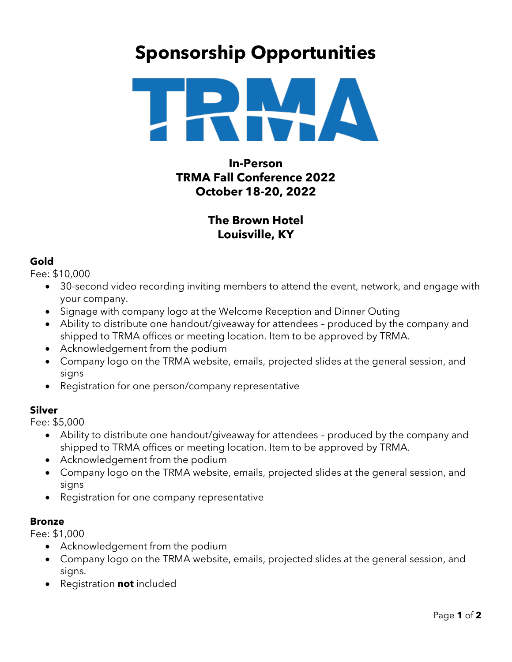# **Sponsorship Opportunities**



**In-Person TRMA Fall Conference 2022 October 18-20, 2022**

## **The Brown Hotel Louisville, KY**

## **Gold**

Fee: \$10,000

- 30-second video recording inviting members to attend the event, network, and engage with your company.
- Signage with company logo at the Welcome Reception and Dinner Outing
- Ability to distribute one handout/giveaway for attendees produced by the company and shipped to TRMA offices or meeting location. Item to be approved by TRMA.
- Acknowledgement from the podium
- Company logo on the TRMA website, emails, projected slides at the general session, and signs
- Registration for one person/company representative

## **Silver**

Fee: \$5,000

- Ability to distribute one handout/giveaway for attendees produced by the company and shipped to TRMA offices or meeting location. Item to be approved by TRMA.
- Acknowledgement from the podium
- Company logo on the TRMA website, emails, projected slides at the general session, and signs
- Registration for one company representative

## **Bronze**

Fee: \$1,000

- Acknowledgement from the podium
- Company logo on the TRMA website, emails, projected slides at the general session, and signs.
- Registration **not** included